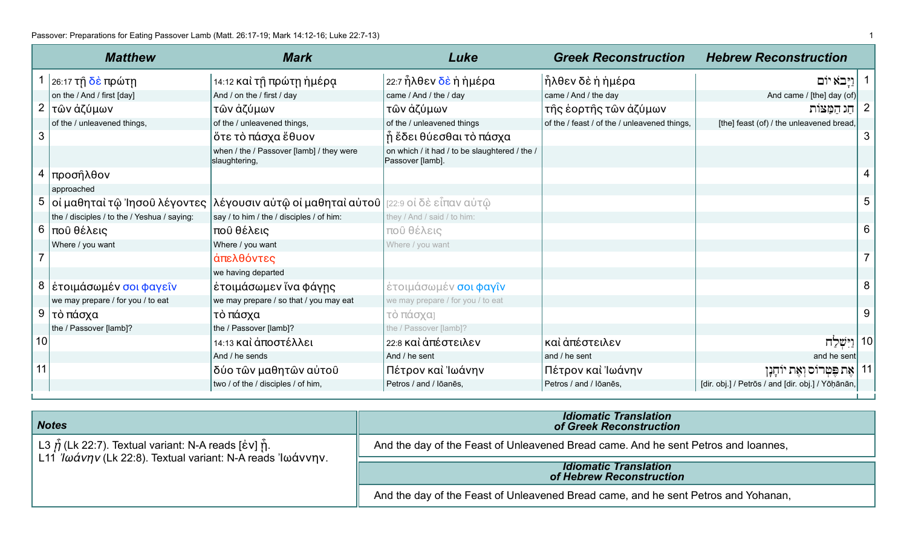|              | <b>Matthew</b>                              | <b>Mark</b>                                                                                | Luke                                                              | <b>Greek Reconstruction</b>                  | <b>Hebrew Reconstruction</b>                      |              |
|--------------|---------------------------------------------|--------------------------------------------------------------------------------------------|-------------------------------------------------------------------|----------------------------------------------|---------------------------------------------------|--------------|
|              | 26:17 τ <u>ῆ δὲ</u> πρώτῃ                   | 14:12 καὶ τῇ πρώτῃ ἡμέρạ                                                                   | 22:7 ἦλθεν δὲ ἡ ἡμέρα                                             | ἦλθεν δὲ ἡ ἡμέρα                             | וַיַּבא יוֹם                                      |              |
|              | on the / And / first [day]                  | And / on the / first / day                                                                 | came / And / the / day                                            | came / And / the day                         | And came / [the] day (of)                         |              |
| $\mathbf{2}$ | τῶν ἀζύμων                                  | τῶν ἀζύμων                                                                                 | τῶν ἀζύμων                                                        | τῆς ἑορτῆς τῶν ἀζύμων                        | חַג הַמַּצּוֹת                                    | $\mathbf{z}$ |
|              | of the / unleavened things,                 | of the / unleavened things,                                                                | of the / unleavened things                                        | of the / feast / of the / unleavened things, | [the] feast (of) / the unleavened bread,          |              |
| 3            |                                             | ὄτε τὸ πάσχα ἔθυον                                                                         | ή έδει θύεσθαι τὸ πάσχα                                           |                                              |                                                   | 3            |
|              |                                             | when / the / Passover [lamb] / they were<br>slaughtering,                                  | on which / it had / to be slaughtered / the /<br>Passover [lamb]. |                                              |                                                   |              |
| 4            | προσήλθον                                   |                                                                                            |                                                                   |                                              |                                                   | 4            |
|              | approached                                  |                                                                                            |                                                                   |                                              |                                                   |              |
|              |                                             | 5   oi μαθηταὶ τῷ Ἰησοῦ λέγοντες   λέγουσιν αὐτῷ οi μαθηταὶ αὐτοῦ   [22:9 οi δὲ εἶπαν αὐτῷ |                                                                   |                                              |                                                   | 5            |
|              | the / disciples / to the / Yeshua / saying: | say / to him / the / disciples / of him:                                                   | they / And / said / to him:                                       |                                              |                                                   |              |
|              | 6 που θέλεις                                | ποῦ θέλεις                                                                                 | ποῦ θέλεις                                                        |                                              |                                                   | 6            |
|              | Where / you want                            | Where / you want                                                                           | Where / you want                                                  |                                              |                                                   |              |
|              |                                             | άπελθόντες                                                                                 |                                                                   |                                              |                                                   |              |
|              |                                             | we having departed                                                                         |                                                                   |                                              |                                                   |              |
|              | 8   έτοιμάσωμέν σοι φαγεῖν                  | έτοιμάσωμεν ἵνα φάγης                                                                      | έτοιμάσωμέν σοι φαγίν                                             |                                              |                                                   | 8            |
|              | we may prepare / for you / to eat           | we may prepare / so that / you may eat                                                     | we may prepare / for you / to eat                                 |                                              |                                                   |              |
|              | 9   τὸ πάσχα                                | τὸ πάσχα                                                                                   | τὸ πάσχα]                                                         |                                              |                                                   | 9            |
|              | the / Passover [lamb]?                      | the / Passover [lamb]?                                                                     | the / Passover [lamb]?                                            |                                              |                                                   |              |
| 10           |                                             | 14:13 καὶ ἀποστέλλει                                                                       | 22:8 και άπέστειλεν                                               | καὶ ἀπέστειλεν                               | 10  וַיִּשְׁלַח                                   |              |
|              |                                             | And / he sends                                                                             | And / he sent                                                     | and / he sent                                | and he sent                                       |              |
| 11           |                                             | δύο τῶν μαθητῶν αὐτοῦ                                                                      | Πέτρον καὶ Ἰωάνην                                                 | Πέτρον καὶ Ἰωάνην                            | 11   אֵת פֵּטִרוֹס וְאֵת יוֹחָנָן                 |              |
|              |                                             | two / of the / disciples / of him,                                                         | Petros / and / Iōanēs,                                            | Petros / and / Iōanēs,                       | [dir. obj.] / Petrōs / and [dir. obj.] / Yōḥānān, |              |

| <b>Notes</b>                                                                                                                                     | <b>Idiomatic Translation</b><br>of Greek Reconstruction                            |
|--------------------------------------------------------------------------------------------------------------------------------------------------|------------------------------------------------------------------------------------|
| L3 $\tilde{\eta}$ (Lk 22:7). Textual variant: N-A reads [ɛ̓v] $\hat{\eta}$ .<br>L11 <i>Ιωάνην</i> (Lk 22:8). Textual variant: N-A reads Ιωάννην. | And the day of the Feast of Unleavened Bread came. And he sent Petros and Ioannes, |
|                                                                                                                                                  | <b>Idiomatic Translation</b><br>of Hebrew Reconstruction                           |
|                                                                                                                                                  | And the day of the Feast of Unleavened Bread came, and he sent Petros and Yohanan, |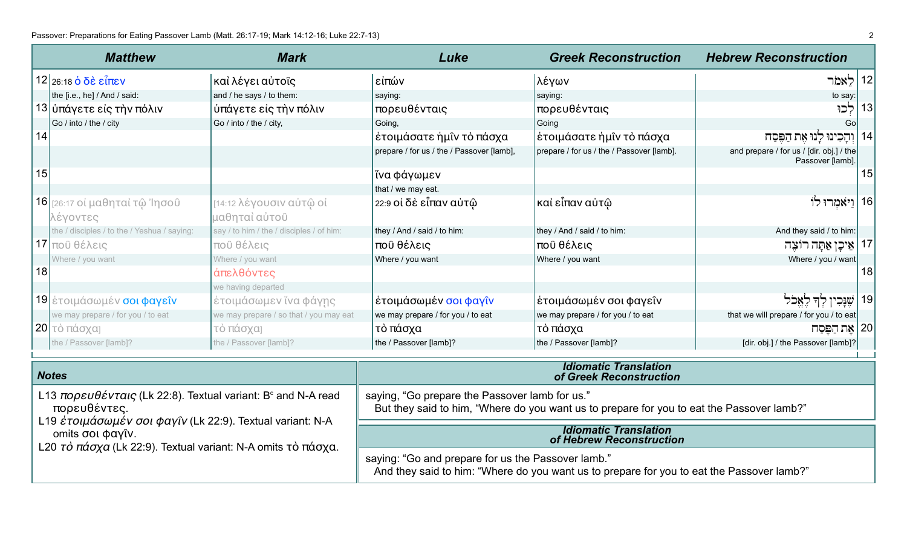|    | <b>Matthew</b>                              | <b>Mark</b>                              | Luke                                      | <b>Greek Reconstruction</b>               | <b>Hebrew Reconstruction</b>                                 |
|----|---------------------------------------------|------------------------------------------|-------------------------------------------|-------------------------------------------|--------------------------------------------------------------|
|    | $12$ 26:18 ο δε είπεν                       | καὶ λέγει αὐτοῖς                         | είπών                                     | λέγων                                     | לָאמֹר<br>12                                                 |
|    | the [i.e., he] / And / said:                | and / he says / to them:                 | saying:                                   | saying:                                   | to say:                                                      |
|    | 13  ὑπάγετε εἰς τὴν πόλιν                   | ύπάγετε είς τὴν πόλιν                    | πορευθένταις                              | πορευθένταις                              | 13<br>לכוּ                                                   |
|    | Go / into / the / city                      | Go / into / the / city,                  | Going,                                    | Going                                     | Go                                                           |
| 14 |                                             |                                          | έτοιμάσατε ἡμῖν τὸ πάσχα                  | έτοιμάσατε ἡμῖν τὸ πάσχα                  | לנו את הפסח                                                  |
|    |                                             |                                          | prepare / for us / the / Passover [lamb], | prepare / for us / the / Passover [lamb]. | and prepare / for us / [dir. obj.] / the<br>Passover [lamb]. |
| 15 |                                             |                                          | ἵνα φάγωμεν                               |                                           | 15                                                           |
|    |                                             |                                          | that / we may eat.                        |                                           |                                                              |
|    | <b>16</b> [26:17 οἱ μαθηταὶ τῷ Ἰησοῦ        | [14:12 λέγουσιν αὐτῷ οἱ                  | 22:9 οἱ δὲ εἶπαν αὐτῷ                     | καὶ εἶπαν αὐτῷ                            | 16   וַיֹּאמִרוּ לוֹ                                         |
|    | λέγοντες                                    | μαθηταὶ αὐτοῦ                            |                                           |                                           |                                                              |
|    | the / disciples / to the / Yeshua / saying: | say / to him / the / disciples / of him: | they / And / said / to him:               | they / And / said / to him:               | And they said / to him:                                      |
|    | $17$ που θέλεις                             | ποῦ θέλεις                               | ποῦ θέλεις                                | ποῦ θέλεις                                | אֵיכָן אַתָּה רוֹצֵה<br>17                                   |
|    | Where / you want                            | Where / you want                         | Where / you want                          | Where / you want                          | Where / you / want                                           |
| 18 |                                             | άπελθόντες                               |                                           |                                           | 18                                                           |
|    |                                             | we having departed                       |                                           |                                           |                                                              |
|    | 19 έτοιμάσωμέν σοι φαγεῖν                   | έτοιμάσωμεν ἵνα φάγης                    | έτοιμάσωμέν σοι φαγῖν                     | έτοιμάσωμέν σοι φαγεῖν                    | 19                                                           |
|    | we may prepare / for you / to eat           | we may prepare / so that / you may eat   | we may prepare / for you / to eat         | we may prepare / for you / to eat         | that we will prepare / for you / to eat                      |
|    | , 20  τὸ πάσχα]                             | τὸ πάσχα]                                | τὸ πάσχα                                  | τὸ πάσχα                                  | ן 20   אֵת הַפֵּסַח                                          |
|    | the / Passover [lamb]?                      | the / Passover [lamb]?                   | the / Passover [lamb]?                    | the / Passover [lamb]?                    | [dir. obj.] / the Passover [lamb]?                           |
|    |                                             |                                          |                                           |                                           |                                                              |

| <b>Notes</b>                                                                                                                                                       | <b>Idiomatic Translation</b><br>of Greek Reconstruction                                                                                         |
|--------------------------------------------------------------------------------------------------------------------------------------------------------------------|-------------------------------------------------------------------------------------------------------------------------------------------------|
| L13 $\pi \omega \rho \varepsilon \omega \theta \varepsilon$ v $\tau \alpha \rho \varsigma$ (Lk 22:8). Textual variant: B <sup>c</sup> and N-A read<br>πορευθέντες. | saying, "Go prepare the Passover lamb for us."<br>But they said to him, "Where do you want us to prepare for you to eat the Passover lamb?"     |
| L19 έτοιμάσωμέν σοι φαγῖν (Lk 22:9). Textual variant: N-A<br>omits σοι φαγῖν.<br>L20 τὸ πάσχα (Lk 22:9). Textual variant: N-A omits τὸ πάσχα.                      | <b>Idiomatic Translation</b><br>of Hebrew Reconstruction                                                                                        |
|                                                                                                                                                                    | saying: "Go and prepare for us the Passover lamb."<br>And they said to him: "Where do you want us to prepare for you to eat the Passover lamb?" |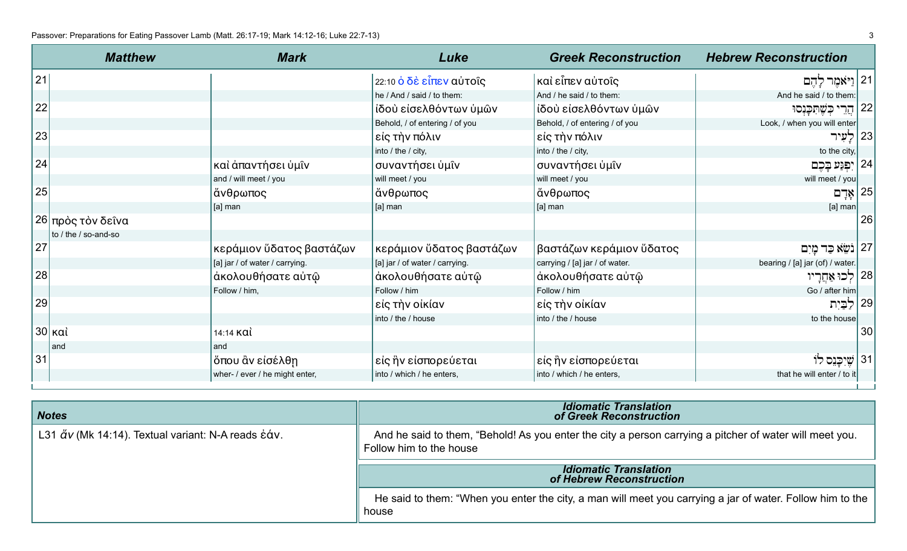| <b>Matthew</b>       | <b>Mark</b>                    | Luke                           | <b>Greek Reconstruction</b>    | <b>Hebrew Reconstruction</b>    |    |
|----------------------|--------------------------------|--------------------------------|--------------------------------|---------------------------------|----|
| 21                   |                                | 22:10 ὁ δὲ εἶπεν αὐτοῖς        | καὶ εἶπεν αὐτοῖς               | 21  וַיֹּאמֶר לְהֶם             |    |
|                      |                                | he / And / said / to them:     | And / he said / to them:       | And he said / to them:          |    |
| 22                   |                                | ιδού είσελθόντων ύμῶν          | ίδού είσελθόντων ύμών          | ּבִשֶּׁתְּכֵּנִסוּ<br>הרי       | 22 |
|                      |                                | Behold, / of entering / of you | Behold, / of entering / of you | Look, / when you will enter     |    |
| 23                   |                                | είς τὴν πόλιν                  | είς τὴν πόλιν                  | לעיר                            | 23 |
|                      |                                | into / the / city,             | into / the / city,             | to the city,                    |    |
| 24                   | καὶ ἀπαντήσει ὑμῖν             | συναντήσει ὑμῖν                | συναντήσει ὑμῖν                | 24   יִפְגַע בַּכֶם             |    |
|                      | and / will meet / you          | will meet / you                | will meet / you                | will meet / you                 |    |
| 25                   | άνθρωπος                       | άνθρωπος                       | άνθρωπος                       | אָדָם                           | 25 |
|                      | [a] man                        | [a] man                        | [a] man                        | $[a]$ man                       |    |
| 26 πρὸς τὸν δεῖνα    |                                |                                |                                |                                 | 26 |
| to / the / so-and-so |                                |                                |                                |                                 |    |
| 27                   | κεράμιον ὕδατος βαστάζων       | κεράμιον ὕδατος βαστάζων       | βαστάζων κεράμιον ὕδατος       | 27   נֹשֵׂא כַּד מַיִם          |    |
|                      | [a] jar / of water / carrying. | [a] jar / of water / carrying. | carrying / [a] jar / of water. | bearing / [a] jar (of) / water. |    |
| 28                   | άκολουθήσατε αὐτῷ              | άκολουθήσατε αὐτῷ              | άκολουθήσατε αὐτῷ              | 28   לְכוּ אַחֲרָיו             |    |
|                      | Follow / him,                  | Follow / him                   | Follow / him                   | Go / after him                  |    |
| 29                   |                                | είς τὴν οἰκίαν                 | είς τὴν οἰκίαν                 | לַבַּיִת                        | 29 |
|                      |                                | into / the / house             | into / the / house             | to the house                    |    |
| 30   καὶ             | $14:14$ KQI                    |                                |                                |                                 | 30 |
| and                  | and                            |                                |                                |                                 |    |
| 31                   | ὄπου ἂν εἰσέλθη                | είς ἣν είσπορεύεται            | είς ἣν είσπορεύεται            | 31   שיכנס לוֹ                  |    |
|                      | wher- / ever / he might enter, | into / which / he enters,      | into / which / he enters,      | that he will enter / to it      |    |

| <b>Notes</b>                                                                                      | <b>Idiomatic Translation</b><br>of Greek Reconstruction                                                                            |
|---------------------------------------------------------------------------------------------------|------------------------------------------------------------------------------------------------------------------------------------|
| L31 $\breve{\alpha}$ v (Mk 14:14). Textual variant: N-A reads $\breve{\text{c}}\acute{\alpha}$ v. | And he said to them, "Behold! As you enter the city a person carrying a pitcher of water will meet you.<br>Follow him to the house |
|                                                                                                   |                                                                                                                                    |
|                                                                                                   | <b>Idiomatic Translation</b><br>of Hebrew Reconstruction                                                                           |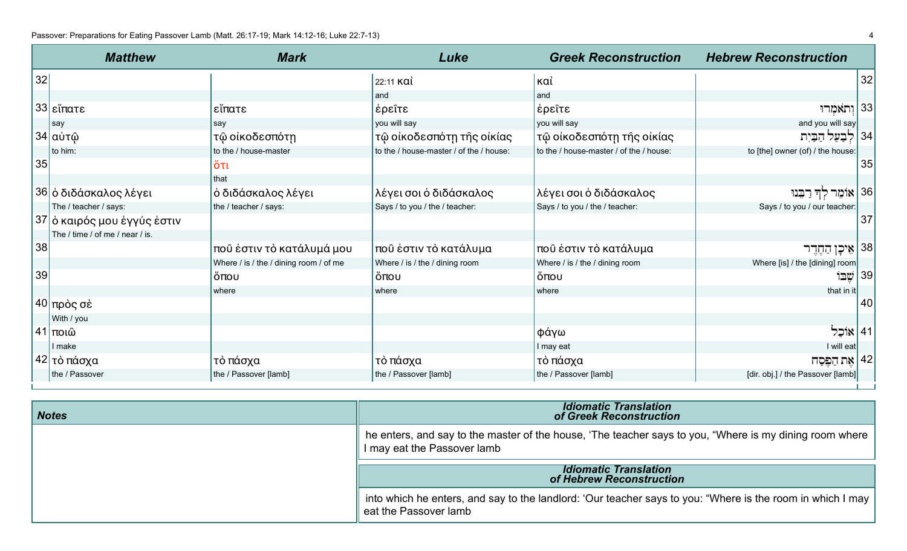|    | <b>Matthew</b>                  | <b>Mark</b>                            | Luke                                    | <b>Greek Reconstruction</b>             | <b>Hebrew Reconstruction</b>      |    |
|----|---------------------------------|----------------------------------------|-----------------------------------------|-----------------------------------------|-----------------------------------|----|
| 32 |                                 |                                        | 22:11 καὶ                               | καὶ                                     |                                   | 32 |
|    |                                 |                                        | ∣and                                    | land                                    |                                   |    |
|    | 33 εἴπατε                       | εἴπατε                                 | ∣ἐρεῖτε                                 | έρεῖτε                                  | 33 וְתֹאמְרוּ                     |    |
|    | say                             | say                                    | you will say                            | you will say                            | and you will say                  |    |
|    | <sub>ι</sub> 34 αὐτῷ            | τῷ οἰκοδεσπότη                         | τῷ οἰκοδεσπότη τῆς οἰκίας               | τῷ οἰκοδεσπότη τῆς οἰκίας               | הַבַּיִת                          | 34 |
|    | to him:                         | to the / house-master                  | to the / house-master / of the / house: | to the / house-master / of the / house: | to [the] owner (of) / the house:  |    |
| 35 |                                 | ὄτι                                    |                                         |                                         |                                   | 35 |
|    |                                 | I that                                 |                                         |                                         |                                   |    |
|    | 36 ό διδάσκαλος λέγει           | ό διδάσκαλος λέγει                     | λέγει σοι ό διδάσκαλος                  | λέγει σοι ό διδάσκαλος                  | 36   אוֹמֵר לִדְּ רַבֵּנוּ        |    |
|    | The / teacher / says:           | the / teacher / says:                  | Says / to you / the / teacher:          | Says / to you / the / teacher:          | Says / to you / our teacher:      |    |
|    | 37 ό καιρός μου έγγύς έστιν     |                                        |                                         |                                         |                                   | 37 |
|    | The / time / of me / near / is. |                                        |                                         |                                         |                                   |    |
| 38 |                                 | ποῦ ἐστιν τὸ κατάλυμά μου              | ποῦ ἐστιν τὸ κατάλυμα                   | ποῦ ἐστιν τὸ κατάλυμα                   | 138 <b>אִיכָן</b> הַחֶדֶר,        |    |
|    |                                 | Where / is / the / dining room / of me | Where / is / the / dining room          | Where / is / the / dining room          | Where [is] / the [dining] room    |    |
| 39 |                                 | ι ὄπου                                 | ὄπου                                    | ὄπου                                    | שבו                               | 39 |
|    |                                 | where                                  | where                                   | where                                   | that in it                        |    |
|    | , 40∣πρὸς σὲ                    |                                        |                                         |                                         |                                   | 40 |
|    | With / you                      |                                        |                                         |                                         |                                   |    |
|    | <sub>Ι</sub> 41∣ποιῶ            |                                        |                                         | φάγω                                    | 41   אוֹכֵל                       |    |
|    | I make                          |                                        |                                         | I may eat                               | I will eat                        |    |
|    | <sub>ι</sub> 42  τὸ πάσχα       | τὸ πάσχα                               | τὸ πάσχα                                | τὸ πάσχα                                | 42   אֶת הַפֵּסַח                 |    |
|    | the / Passover                  | the / Passover [lamb]                  | the / Passover [lamb]                   | the / Passover [lamb]                   | [dir. obj.] / the Passover [lamb] |    |

| <b>Notes</b> | <b>Idiomatic Translation</b><br>of Greek Reconstruction                                                                                 |
|--------------|-----------------------------------------------------------------------------------------------------------------------------------------|
|              | the enters, and say to the master of the house, 'The teacher says to you, "Where is my dining room where<br>I may eat the Passover lamb |
|              | <b>Idiomatic Translation</b><br>of Hebrew Reconstruction                                                                                |
|              | into which he enters, and say to the landlord: 'Our teacher says to you: "Where is the room in which I may<br>eat the Passover lamb     |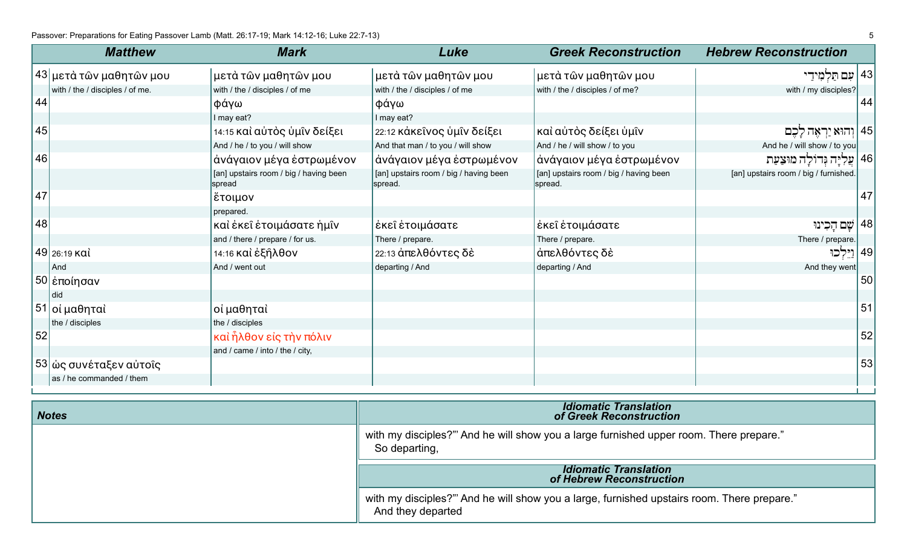|    | <b>Matthew</b>                  | <b>Mark</b>                                      | Luke                                              | <b>Greek Reconstruction</b>                       | <b>Hebrew Reconstruction</b>          |    |
|----|---------------------------------|--------------------------------------------------|---------------------------------------------------|---------------------------------------------------|---------------------------------------|----|
|    | 43  μετὰ τῶν μαθητῶν μου        | μετὰ τῶν μαθητῶν μου                             | μετά τῶν μαθητῶν μου                              | μετὰ τῶν μαθητῶν μου                              | 43   עם תַּלְמִידַ                    |    |
|    | with / the / disciples / of me. | with / the / disciples / of me                   | with / the / disciples / of me                    | with / the / disciples / of me?                   | with / my disciples?                  |    |
| 44 |                                 | φάγω                                             | φάγω                                              |                                                   |                                       | 44 |
|    |                                 | I may eat?                                       | I may eat?                                        |                                                   |                                       |    |
| 45 |                                 | 14:15 καὶ αὐτὸς ὑμῖν δείξει                      | 22:12 κάκεῖνος ὑμῖν δείξει                        | καὶ αὐτὸς δείξει ὑμῖν                             | וְהוּא יַרְאָה לָכֵם                  | 45 |
|    |                                 | And / he / to you / will show                    | And that man / to you / will show                 | And / he / will show / to you                     | And he / will show / to you           |    |
| 46 |                                 | άνάγαιον μέγα έστρωμένον                         | άνάγαιον μέγα ἐστρωμένον                          | άνάγαιον μέγα έστρωμένον                          | 46   עֵלְיָּה גִּדוֹלָה מוּצַעַת      |    |
|    |                                 | [an] upstairs room / big / having been<br>spread | [an] upstairs room / big / having been<br>spread. | [an] upstairs room / big / having been<br>spread. | [an] upstairs room / big / furnished. |    |
| 47 |                                 | έτοιμον                                          |                                                   |                                                   |                                       | 47 |
|    |                                 | prepared.                                        |                                                   |                                                   |                                       |    |
| 48 |                                 | καὶ ἐκεῖ ἑτοιμάσατε ἡμῖν                         | έκεῖ ἑτοιμάσατε                                   | έκει έτοιμάσατε                                   | 48   שֵם הָכִינוּ                     |    |
|    |                                 | and / there / prepare / for us.                  | There / prepare.                                  | There / prepare.                                  | There / prepare.                      |    |
|    | 49 26:19 καὶ                    | 14:16 καὶ ἐξῆλθον                                | 22:13 άπελθόντες δέ                               | άπελθόντες δὲ                                     | <u>וי</u> לכו                         | 49 |
|    | And                             | And / went out                                   | departing / And                                   | departing / And                                   | And they went                         |    |
|    | 50  ἐποίησαν                    |                                                  |                                                   |                                                   |                                       | 50 |
|    | did                             |                                                  |                                                   |                                                   |                                       |    |
|    | 51  οἱ μαθηταὶ                  | οί μαθηταὶ                                       |                                                   |                                                   |                                       | 51 |
|    | the / disciples                 | the / disciples                                  |                                                   |                                                   |                                       |    |
| 52 |                                 | καὶ ἦλθον εἰς τὴν πόλιν                          |                                                   |                                                   |                                       | 52 |
|    |                                 | and / came / into / the / city,                  |                                                   |                                                   |                                       |    |
|    | 53  ὡς συνέταξεν αὐτοῖς         |                                                  |                                                   |                                                   |                                       | 53 |
|    | as / he commanded / them        |                                                  |                                                   |                                                   |                                       |    |

| <b>Notes</b> | <b>Idiomatic Translation</b><br>of Greek Reconstruction                                                         |
|--------------|-----------------------------------------------------------------------------------------------------------------|
|              | with my disciples?" And he will show you a large furnished upper room. There prepare."<br>So departing,         |
|              | <b>Idiomatic Translation</b><br>of Hebrew Reconstruction                                                        |
|              | with my disciples?" And he will show you a large, furnished upstairs room. There prepare."<br>And they departed |